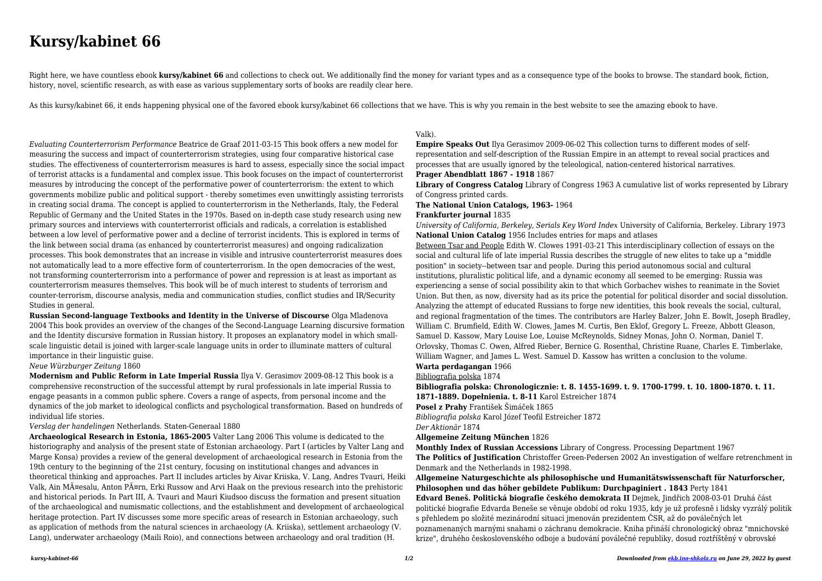#### *kursy-kabinet-66 1/2 Downloaded from [ekb.ino-shkola.ru](http://ekb.ino-shkola.ru) on June 29, 2022 by guest*

# **Kursy/kabinet 66**

Right here, we have countless ebook **kursy/kabinet 66** and collections to check out. We additionally find the money for variant types and as a consequence type of the books to browse. The standard book, fiction, history, novel, scientific research, as with ease as various supplementary sorts of books are readily clear here.

As this kursy/kabinet 66, it ends happening physical one of the favored ebook kursy/kabinet 66 collections that we have. This is why you remain in the best website to see the amazing ebook to have.

*Evaluating Counterterrorism Performance* Beatrice de Graaf 2011-03-15 This book offers a new model for measuring the success and impact of counterterrorism strategies, using four comparative historical case studies. The effectiveness of counterterrorism measures is hard to assess, especially since the social impact of terrorist attacks is a fundamental and complex issue. This book focuses on the impact of counterterrorist measures by introducing the concept of the performative power of counterterrorism: the extent to which governments mobilize public and political support - thereby sometimes even unwittingly assisting terrorists in creating social drama. The concept is applied to counterterrorism in the Netherlands, Italy, the Federal Republic of Germany and the United States in the 1970s. Based on in-depth case study research using new primary sources and interviews with counterterrorist officials and radicals, a correlation is established between a low level of performative power and a decline of terrorist incidents. This is explored in terms of the link between social drama (as enhanced by counterterrorist measures) and ongoing radicalization processes. This book demonstrates that an increase in visible and intrusive counterterrorist measures does not automatically lead to a more effective form of counterterrorism. In the open democracies of the west, not transforming counterterrorism into a performance of power and repression is at least as important as counterterrorism measures themselves. This book will be of much interest to students of terrorism and counter-terrorism, discourse analysis, media and communication studies, conflict studies and IR/Security Studies in general.

**Russian Second-language Textbooks and Identity in the Universe of Discourse** Olga Mladenova 2004 This book provides an overview of the changes of the Second-Language Learning discursive formation and the Identity discursive formation in Russian history. It proposes an explanatory model in which smallscale linguistic detail is joined with larger-scale language units in order to illuminate matters of cultural importance in their linguistic guise.

#### *Neue Würzburger Zeitung* 1860

**Modernism and Public Reform in Late Imperial Russia** Ilya V. Gerasimov 2009-08-12 This book is a comprehensive reconstruction of the successful attempt by rural professionals in late imperial Russia to engage peasants in a common public sphere. Covers a range of aspects, from personal income and the dynamics of the job market to ideological conflicts and psychological transformation. Based on hundreds of individual life stories.

### *Verslag der handelingen* Netherlands. Staten-Generaal 1880

**Archaeological Research in Estonia, 1865-2005** Valter Lang 2006 This volume is dedicated to the historiography and analysis of the present state of Estonian archaeology. Part I (articles by Valter Lang and Marge Konsa) provides a review of the general development of archaeological research in Estonia from the 19th century to the beginning of the 21st century, focusing on institutional changes and advances in theoretical thinking and approaches. Part II includes articles by Aivar Kriiska, V. Lang, Andres Tvauri, Heiki Valk, Ain Mäesalu, Anton Pärn, Erki Russow and Arvi Haak on the previous research into the prehistoric and historical periods. In Part III, A. Tvauri and Mauri Kiudsoo discuss the formation and present situation of the archaeological and numismatic collections, and the establishment and development of archaeological heritage protection. Part IV discusses some more specific areas of research in Estonian archaeology, such as application of methods from the natural sciences in archaeology (A. Kriiska), settlement archaeology (V. Lang), underwater archaeology (Maili Roio), and connections between archaeology and oral tradition (H.

# Valk).

**Empire Speaks Out** Ilya Gerasimov 2009-06-02 This collection turns to different modes of selfrepresentation and self-description of the Russian Empire in an attempt to reveal social practices and processes that are usually ignored by the teleological, nation-centered historical narratives. **Prager Abendblatt 1867 - 1918** 1867

**Library of Congress Catalog** Library of Congress 1963 A cumulative list of works represented by Library of Congress printed cards.

# **The National Union Catalogs, 1963-** 1964 **Frankfurter journal** 1835

*University of California, Berkeley, Serials Key Word Index* University of California, Berkeley. Library 1973 **National Union Catalog** 1956 Includes entries for maps and atlases Between Tsar and People Edith W. Clowes 1991-03-21 This interdisciplinary collection of essays on the social and cultural life of late imperial Russia describes the struggle of new elites to take up a "middle" position" in society--between tsar and people. During this period autonomous social and cultural institutions, pluralistic political life, and a dynamic economy all seemed to be emerging: Russia was experiencing a sense of social possibility akin to that which Gorbachev wishes to reanimate in the Soviet Union. But then, as now, diversity had as its price the potential for political disorder and social dissolution. Analyzing the attempt of educated Russians to forge new identities, this book reveals the social, cultural, and regional fragmentation of the times. The contributors are Harley Balzer, John E. Bowlt, Joseph Bradley, William C. Brumfield, Edith W. Clowes, James M. Curtis, Ben Eklof, Gregory L. Freeze, Abbott Gleason, Samuel D. Kassow, Mary Louise Loe, Louise McReynolds, Sidney Monas, John O. Norman, Daniel T. Orlovsky, Thomas C. Owen, Alfred Rieber, Bernice G. Rosenthal, Christine Ruane, Charles E. Timberlake, William Wagner, and James L. West. Samuel D. Kassow has written a conclusion to the volume. **Warta perdagangan** 1966

# Bibliografia polska 1874

**Bibliografia polska: Chronologicznie: t. 8. 1455-1699. t. 9. 1700-1799. t. 10. 1800-1870. t. 11. 1871-1889. Dopełnienia. t. 8-11** Karol Estreicher 1874 **Posel z Prahy** František Šimáček 1865 *Bibliografia polska* Karol Józef Teofil Estreicher 1872

# *Der Aktionär* 1874

#### **Allgemeine Zeitung München** 1826

**Monthly Index of Russian Accessions** Library of Congress. Processing Department 1967 **The Politics of Justification** Christoffer Green-Pedersen 2002 An investigation of welfare retrenchment in Denmark and the Netherlands in 1982-1998.

**Allgemeine Naturgeschichte als philosophische und Humanitätswissenschaft für Naturforscher, Philosophen und das höher gebildete Publikum: Durchpaginiert . 1843** Perty 1841 **Edvard Beneš. Politická biografie českého demokrata II** Dejmek, Jindřich 2008-03-01 Druhá část politické biografie Edvarda Beneše se věnuje období od roku 1935, kdy je už profesně i lidsky vyzrálý politik s přehledem po složité mezinárodní situaci jmenován prezidentem ČSR, až do poválečných let poznamenaných marnými snahami o záchranu demokracie. Kniha přináší chronologický obraz "mnichovské krize", druhého československého odboje a budování poválečné republiky, dosud roztříštěný v obrovské